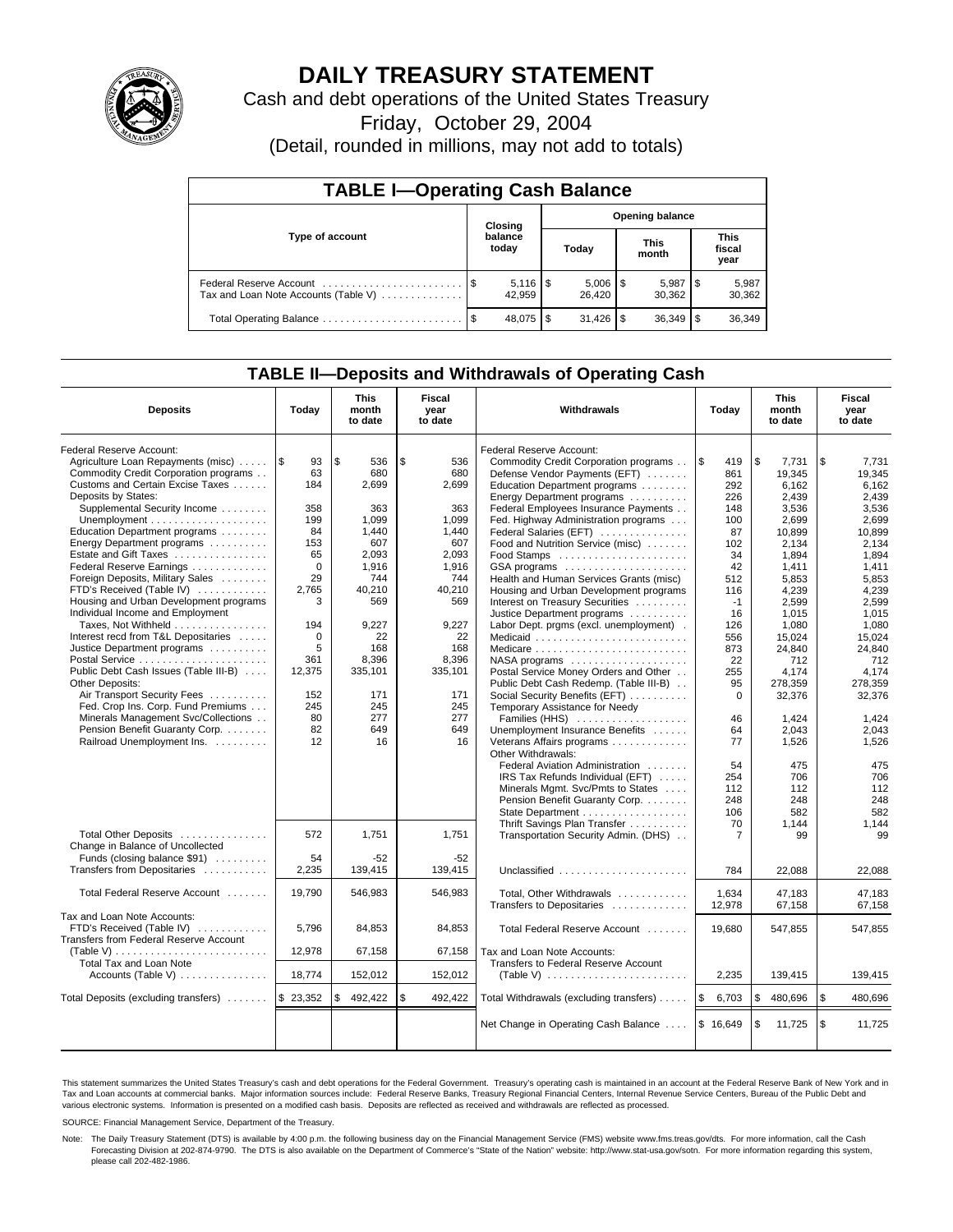

# **DAILY TREASURY STATEMENT**

Cash and debt operations of the United States Treasury

Friday, October 29, 2004

(Detail, rounded in millions, may not add to totals)

| <b>TABLE I-Operating Cash Balance</b>                           |                  |                              |      |                        |                        |                      |  |                               |  |  |
|-----------------------------------------------------------------|------------------|------------------------------|------|------------------------|------------------------|----------------------|--|-------------------------------|--|--|
|                                                                 |                  | Closing                      |      |                        | <b>Opening balance</b> |                      |  |                               |  |  |
| Type of account                                                 | balance<br>today |                              |      | Today                  |                        | <b>This</b><br>month |  | <b>This</b><br>fiscal<br>year |  |  |
| Federal Reserve Account<br>Tax and Loan Note Accounts (Table V) |                  | $5,116$ $\sqrt{5}$<br>42.959 |      | $5,006$   \$<br>26.420 |                        | 5,987<br>30.362      |  | 5,987<br>30,362               |  |  |
| Total Operating Balance                                         | - \$             | 48.075                       | l \$ |                        |                        | 36,349               |  | 36,349                        |  |  |

## **TABLE II—Deposits and Withdrawals of Operating Cash**

| <b>Deposits</b>                                                                                | Today    | <b>This</b><br>month<br>to date | Fiscal<br>year<br>to date | Withdrawals                                                      | Today          | <b>This</b><br>month<br>to date | Fiscal<br>year<br>to date |
|------------------------------------------------------------------------------------------------|----------|---------------------------------|---------------------------|------------------------------------------------------------------|----------------|---------------------------------|---------------------------|
| <b>Federal Reserve Account:</b>                                                                |          |                                 |                           | Federal Reserve Account:                                         |                |                                 |                           |
| Agriculture Loan Repayments (misc)  S                                                          | 93       | l \$<br>536                     | \$<br>536                 | Commodity Credit Corporation programs                            | \$<br>419      | \$<br>7.731                     | \$<br>7.731               |
| Commodity Credit Corporation programs                                                          | 63       | 680                             | 680                       | Defense Vendor Payments (EFT)                                    | 861            | 19.345                          | 19.345                    |
| Customs and Certain Excise Taxes                                                               | 184      | 2,699                           | 2,699                     | Education Department programs                                    | 292            | 6.162                           | 6.162                     |
| Deposits by States:                                                                            |          |                                 |                           | Energy Department programs                                       | 226            | 2.439                           | 2.439                     |
| Supplemental Security Income                                                                   | 358      | 363                             | 363                       | Federal Employees Insurance Payments                             | 148            | 3,536                           | 3,536                     |
|                                                                                                | 199      | 1.099                           | 1.099                     | Fed. Highway Administration programs                             | 100            | 2,699                           | 2,699                     |
| Education Department programs                                                                  | 84       | 1,440                           | 1,440                     | Federal Salaries (EFT)                                           | 87             | 10.899                          | 10.899                    |
| Energy Department programs                                                                     | 153      | 607                             | 607                       | Food and Nutrition Service (misc)                                | 102            | 2.134                           | 2.134                     |
| Estate and Gift Taxes                                                                          | 65       | 2.093                           | 2.093                     | Food Stamps                                                      | 34             | 1.894                           | 1.894                     |
| Federal Reserve Earnings                                                                       | $\Omega$ | 1,916                           | 1,916                     | GSA programs                                                     | 42             | 1,411                           | 1,411                     |
| Foreign Deposits, Military Sales                                                               | 29       | 744                             | 744                       | Health and Human Services Grants (misc)                          | 512            | 5,853                           | 5,853                     |
| FTD's Received (Table IV)                                                                      | 2,765    | 40,210                          | 40.210                    | Housing and Urban Development programs                           | 116            | 4.239                           | 4.239                     |
| Housing and Urban Development programs                                                         | 3        | 569                             | 569                       | Interest on Treasury Securities                                  | -1             | 2,599                           | 2.599                     |
| Individual Income and Employment                                                               |          |                                 |                           | Justice Department programs                                      | 16             | 1,015                           | 1,015                     |
| Taxes, Not Withheld                                                                            | 194      | 9,227                           | 9,227                     | Labor Dept. prgms (excl. unemployment).                          | 126            | 1,080                           | 1.080                     |
| Interest recd from T&L Depositaries                                                            | 0        | 22                              | 22                        | Medicaid                                                         | 556            | 15.024                          | 15.024                    |
| Justice Department programs                                                                    | 5        | 168                             | 168                       | Medicare                                                         | 873            | 24.840                          | 24.840                    |
| Postal Service                                                                                 | 361      | 8,396                           | 8,396                     |                                                                  | 22             | 712                             | 712                       |
| Public Debt Cash Issues (Table III-B)<br>Other Deposits:                                       | 12,375   | 335,101                         | 335,101                   | Postal Service Money Orders and Other                            | 255            | 4.174                           | 4.174                     |
| Air Transport Security Fees                                                                    | 152      | 171                             | 171                       | Public Debt Cash Redemp. (Table III-B)                           | 95<br>$\Omega$ | 278.359                         | 278.359                   |
| Fed. Crop Ins. Corp. Fund Premiums                                                             | 245      | 245                             | 245                       | Social Security Benefits (EFT)<br>Temporary Assistance for Needy |                | 32,376                          | 32,376                    |
| Minerals Management Svc/Collections                                                            | 80       | 277                             | 277                       | Families (HHS)                                                   | 46             | 1,424                           | 1,424                     |
| Pension Benefit Guaranty Corp.                                                                 | 82       | 649                             | 649                       | Unemployment Insurance Benefits                                  | 64             | 2.043                           | 2.043                     |
| Railroad Unemployment Ins.                                                                     | 12       | 16                              | 16                        | Veterans Affairs programs                                        | 77             | 1,526                           | 1,526                     |
|                                                                                                |          |                                 |                           | Other Withdrawals:                                               |                |                                 |                           |
|                                                                                                |          |                                 |                           | Federal Aviation Administration                                  | 54             | 475                             | 475                       |
|                                                                                                |          |                                 |                           | IRS Tax Refunds Individual (EFT)                                 | 254            | 706                             | 706                       |
|                                                                                                |          |                                 |                           | Minerals Mgmt. Svc/Pmts to States                                | 112            | 112                             | 112                       |
|                                                                                                |          |                                 |                           | Pension Benefit Guaranty Corp.                                   | 248            | 248                             | 248                       |
|                                                                                                |          |                                 |                           | State Department                                                 | 106            | 582                             | 582                       |
|                                                                                                |          |                                 |                           | Thrift Savings Plan Transfer                                     | 70             | 1,144                           | 1.144                     |
| Total Other Deposits                                                                           | 572      | 1.751                           | 1.751                     | Transportation Security Admin. (DHS)                             | $\overline{7}$ | 99                              | 99                        |
| Change in Balance of Uncollected                                                               |          |                                 |                           |                                                                  |                |                                 |                           |
| Funds (closing balance \$91)                                                                   | 54       | -52                             | $-52$                     |                                                                  |                |                                 |                           |
| Transfers from Depositaries                                                                    | 2,235    | 139,415                         | 139,415                   | Unclassified                                                     | 784            | 22.088                          | 22.088                    |
|                                                                                                |          |                                 |                           |                                                                  |                |                                 |                           |
| Total Federal Reserve Account                                                                  | 19,790   | 546,983                         | 546,983                   | Total, Other Withdrawals                                         | 1,634          | 47,183                          | 47,183                    |
|                                                                                                |          |                                 |                           | Transfers to Depositaries                                        | 12,978         | 67,158                          | 67,158                    |
| Tax and Loan Note Accounts:                                                                    |          |                                 |                           |                                                                  |                |                                 |                           |
| FTD's Received (Table IV)                                                                      | 5,796    | 84,853                          | 84,853                    | Total Federal Reserve Account                                    | 19,680         | 547,855                         | 547,855                   |
| Transfers from Federal Reserve Account                                                         |          |                                 |                           |                                                                  |                |                                 |                           |
| $(Table V) \ldots \ldots \ldots \ldots \ldots \ldots \ldots \ldots$<br>Total Tax and Loan Note | 12,978   | 67,158                          | 67,158                    | Tax and Loan Note Accounts:                                      |                |                                 |                           |
| Accounts (Table V) $\dots \dots \dots \dots$                                                   | 18,774   | 152,012                         | 152,012                   | Transfers to Federal Reserve Account                             | 2,235          | 139,415                         | 139,415                   |
|                                                                                                |          |                                 |                           |                                                                  |                |                                 |                           |
| Total Deposits (excluding transfers)  \$ 23,352                                                |          | \$<br>492,422                   | \$<br>492,422             | Total Withdrawals (excluding transfers)                          | \$<br>6,703    | \$<br>480,696                   | \$<br>480,696             |
|                                                                                                |          |                                 |                           | Net Change in Operating Cash Balance                             | \$16,649       | \$<br>11,725                    | \$<br>11,725              |
|                                                                                                |          |                                 |                           |                                                                  |                |                                 |                           |

This statement summarizes the United States Treasury's cash and debt operations for the Federal Government. Treasury's operating cash is maintained in an account at the Federal Reserve Bank of New York and in Tax and Loan accounts at commercial banks. Major information sources include: Federal Reserve Banks, Treasury Regional Financial Centers, Internal Revenue Service Centers, Bureau of the Public Debt and<br>various electronic s

SOURCE: Financial Management Service, Department of the Treasury.

Note: The Daily Treasury Statement (DTS) is available by 4:00 p.m. the following business day on the Financial Management Service (FMS) website www.fms.treas.gov/dts. For more information, call the Cash Forecasting Division at 202-874-9790. The DTS is also available on the Department of Commerce's "State of the Nation" website: http://www.stat-usa.gov/sotn. For more information regarding this system, please call 202-482-1986.